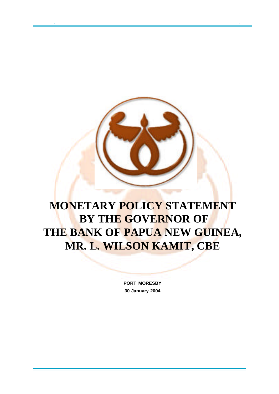# **MONETARY POLICY STATEMENT BY THE GOVERNOR OF THE BANK OF PAPUA NEW GUINEA, MR. L. WILSON KAMIT, CBE**

**PORT MORESBY 30 January 2004**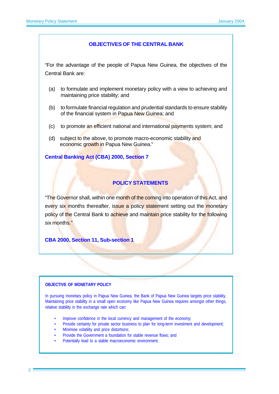#### **OBJECTIVES OF THE CENTRAL BANK**

"For the advantage of the people of Papua New Guinea, the objectives of the Central Bank are:

- (a) to formulate and implement monetary policy with a view to achieving and maintaining price stability; and
- (b) to formulate financial regulation and prudential standards to ensure stability of the financial system in Papua New Guinea; and
- (c) to promote an efficient national and international payments system; and
- (d) subject to the above, to promote macro-economic stability and economic growth in Papua New Guinea."

#### **Central Banking Act (CBA) 2000, Section 7**

# **POLICY STATEMENTS**

"The Governor shall, within one month of the coming into operation of this Act, and every six months thereafter, issue a policy statement setting out the monetary policy of the Central Bank to achieve and maintain price stability for the following six months."

**CBA 2000, Section 11, Sub-section 1**

#### **OBJECTIVE OF MONETARY POLICY**

In pursuing monetary policy in Papua New Guinea, the Bank of Papua New Guinea targets price stability. Maintaining price stability in a small open economy like Papua New Guinea requires amongst other things, relative stability in the exchange rate which can:

- Improve confidence in the local currency and management of the economy;
- Provide certainty for private sector business to plan for long-term investment and development;
- Minimise volatility and price distortions;
- Provide the Government a foundation for stable revenue flows; and
- Potentially lead to a stable macroeconomic environment.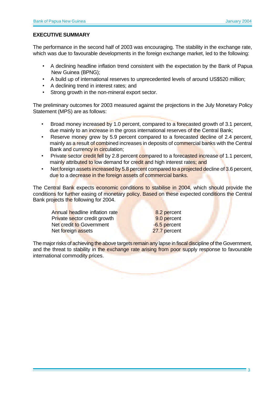#### **EXECUTIVE SUMMARY**

The performance in the second half of 2003 was encouraging. The stability in the exchange rate, which was due to favourable developments in the foreign exchange market, led to the following:

- A declining headline inflation trend consistent with the expectation by the Bank of Papua New Guinea (BPNG);
- A build up of international reserves to unprecedented levels of around US\$520 million;
- A declining trend in interest rates; and
- Strong growth in the non-mineral export sector.

The preliminary outcomes for 2003 measured against the projections in the July Monetary Policy Statement (MPS) are as follows:

- Broad money increased by 1.0 percent, compared to a forecasted growth of 3.1 percent, due mainly to an increase in the gross international reserves of the Central Bank;
- Reserve money grew by 5.9 percent compared to a forecasted decline of 2.4 percent, mainly as a result of combined increases in deposits of commercial banks with the Central Bank and currency in circulation;
- Private sector credit fell by 2.8 percent compared to a forecasted increase of 1.1 percent, mainly attributed to low demand for credit and high interest rates; and
- Net foreign assets increased by 5.8 percent compared to a projected decline of 3.6 percent, due to a decrease in the foreign assets of commercial banks.

The Central Bank expects economic conditions to stabilise in 2004, which should provide the conditions for further easing of monetary policy. Based on these expected conditions the Central Bank projects the following for 2004.

Annual headline inflation rate **8.2 percent** Private sector credit growth 9.0 percent Net credit to Government - The Contract of the Contract of the Contract of the Contract of the Contract of the Contract of the Contract of the Contract of the Contract of the Contract of the Contract of the Contract of the Net foreign assets 27.7 percent

The major risks of achieving the above targets remain any lapse in fiscal discipline of the Government, and the threat to stability in the exchange rate arising from poor supply response to favourable international commodity prices.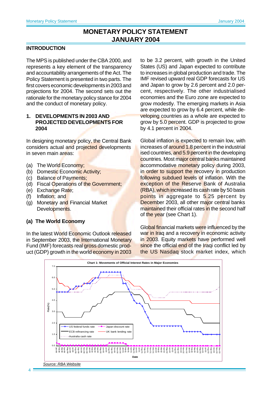# **MONETARY POLICY STATEMENT JANUARY 2004**

#### **INTRODUCTION**

The MPS is published under the CBA 2000, and represents a key element of the transparency and accountability arrangements of the Act. The Policy Statement is presented in two parts. The first covers economic developments in 2003 and projections for 2004. The second sets out the rationale for the monetary policy stance for 2004 and the conduct of monetary policy.

#### **1. DEVELOPMENTS IN 2003 AND PROJECTED DEVELOPMENTS FOR 2004**

In designing monetary policy, the Central Bank considers actual and projected developments in seven main areas:

- (a) The World Economy;
- (b) Domestic Economic Activity;
- (c) Balance of Payments;
- (d) Fiscal Operations of the Government;
- (e) Exchange Rate;
- (f) Inflation; and
- (g) Monetary and Financial Market Developments.

#### **(a) The World Economy**

In the latest World Economic Outlook released in September 2003, the International Monetary Fund (IMF) forecasts real gross domestic product (GDP) growth in the world economy in 2003

to be 3.2 percent, with growth in the United States (US) and Japan expected to contribute to increases in global production and trade. The IMF revised upward real GDP forecasts for US and Japan to grow by 2.6 percent and 2.0 percent, respectively. The other industrialised economies and the Euro zone are expected to grow modestly. The emerging markets in Asia are expected to grow by 6.4 percent, while developing countries as a whole are expected to grow by 5.0 percent. GDP is projected to grow by 4.1 percent in 2004.

Global inflation is expected to remain low, with increases of around 1.8 percent in the industrial ised countries, and 5.9 percent in the developing countries. Most major central banks maintained accommodative monetary policy during 2003, in order to support the recovery in production following subdued levels of inflation. With the exception of the Reserve Bank of Australia (RBA), which increased its cash rate by 50 basis points in aggregate to 5.25 percent by December 2003, all other major central banks maintained their official rates in the second half of the year (see Chart 1).

Global financial markets were influenced by the war in Iraq and a recovery in economic activity in 2003. Equity markets have performed well since the official end of the Iraqi conflict led by the US Nasdaq stock market index, which

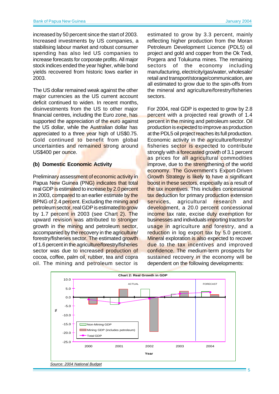increased by 50 percent since the start of 2003. Increased investments by US companies, a stabilising labour market and robust consumer spending has also led US companies to increase forecasts for corporate profits. All major stock indices ended the year higher, while bond yields recovered from historic lows earlier in 2003.

The US dollar remained weak against the other major currencies as the US current account deficit continued to widen. In recent months, disinvestments from the US to other major financial centres, including the Euro zone, has supported the appreciation of the euro against the US dollar, while the Australian dollar has appreciated to a three year high of US\$0.75. Gold continued to benefit from global uncertainties and remained strong around US\$400 per ounce.

#### **(b) Domestic Economic Activity**

Preliminary assessment of economic activity in Papua New Guinea (PNG) indicates that total real GDP is estimated to increase by 2.0 percent in 2003, compared to an earlier estimate by the BPNG of 2.4 percent. Excluding the mining and petroleum sector, real GDP is estimated to grow by 1.7 percent in 2003 (see Chart 2). The upward revision was attributed to stronger growth in the mining and petroleum sector, accompanied by the recovery in the agriculture/ forestry/fisheries sector. The estimated growth of 1.6 percent in the agriculture/forestry/fisheries sector was due to increased production of cocoa, coffee, palm oil, rubber, tea and copra oil. The mining and petroleum sector is

estimated to grow by 3.3 percent, mainly reflecting higher production from the Moran Petroleum Development Licence (PDL5) oil project and gold and copper from the Ok Tedi, Porgera and Tolukuma mines. The remaining sectors of the economy including manufacturing, electricity/gas/water, wholesale/ retail and transport/storage/communication, are all estimated to grow due to the spin-offs from the mineral and agriculture/forestry/fisheries sectors.

For 2004, real GDP is expected to grow by 2.8 percent with a projected real growth of 1.4 percent in the mining and petroleum sector. Oil production is expected to improve as production at the PDL5 oil project reaches its full production. Economic activity in the agriculture/forestry/ fisheries sector is expected to contribute strongly with a **forecasted** growth of 3.1 percent as prices for all agricultural commodities improve, due to the strengthening of the world economy. The Government's Export-Driven Growth Strategy is likely to have a significant boost in these sectors, especially as a result of the tax incentives. This includes concessional tax deduction for primary production extension services, agricultural research and development, a 20.0 percent concessional income tax rate, excise duty exemption for businesses and individuals importing tractors for usage in agriculture and forestry, and a reduction in log export tax by 5.0 percent. Mineral exploration is also expected to recover due to the tax incentives and improved confidence. The medium-term prospects for sustained recovery in the economy will be dependent on the following developments:



5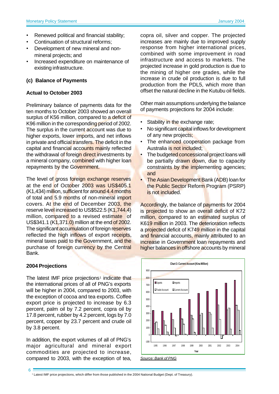- Renewed political and financial stability;
- Continuation of structural reforms;
- Development of new mineral and nonmineral projects; and
- Increased expenditure on maintenance of existing infrastructure.

#### **(c) Balance of Payments**

#### **Actual to October 2003**

Preliminary balance of payments data for the ten months to October 2003 showed an overall surplus of K56 million, compared to a deficit of K96 million in the corresponding period of 2002. The surplus in the current account was due to higher exports, lower imports, and net inflows in private and official transfers. The deficit in the capital and financial accounts mainly reflected the withdrawal of foreign direct investments by a mineral company, combined with higher loan repayments by the Government.

The level of gross foreign exchange reserves at the end of October 2003 was US\$405.1 (K1,434) million, sufficient for around 4.4 months of total and 5.9 months of non-mineral import covers. At the end of December 2003, the reserve level increased to US\$522.5 (K1,744.4) million, compared to a revised estimate of US\$341.1 (K1,371.0) million at the end of 2002. The significant accumulation of foreign reserves reflected the high inflows of export receipts, mineral taxes paid to the Government, and the purchase of foreign currency by the Central Bank.

# **2004 Projections**

6

The latest IMF price projections<sup>1</sup> indicate that the international prices of all of PNG's exports will be higher in 2004, compared to 2003, with the exception of cocoa and tea exports. Coffee export price is projected to increase by 6.3 percent, palm oil by 7.2 percent, copra oil by 17.8 percent, rubber by 4.2 percent, logs by 7.0 percent, copper by 23.7 percent and crude oil by 3.8 percent.

In addition, the export volumes of all of PNG's major agricultural and mineral export commodities are projected to increase, compared to 2003, with the exception of tea,

copra oil, silver and copper. The projected increases are mainly due to improved supply response from higher international prices, combined with some improvement in road infrastructure and access to markets. The projected increase in gold production is due to the mining of higher ore grades, while the increase in crude oil production is due to full production from the PDL5, which more than offset the natural decline in the Kutubu oil fields.

Other main assumptions underlying the balance of payments projections for 2004 include:

- Stability in the exchange rate;
- No significant capital inflows for development of any new projects;
- The enhanced cooperation package from Australia is not included;
- The budgeted concessional project loans will be partially drawn down, due to capacity constraints by the implementing agencies; and
- The Asian Development Bank (ADB) loan for the Public Sector Reform Program (PSRP) is not included.

Accordingly, the balance of payments for 2004 is projected to show an overall deficit of K72 million, compared to an estimated surplus of K619 million in 2003. The deterioration reflects a projected deficit of K749 million in the capital and financial accounts, mainly attributed to an increase in Government loan repayments and higher balances in offshore accounts by mineral





1 Latest IMF price projections, which differ from those published in the 2004 National Budget (Dept. of Treasury).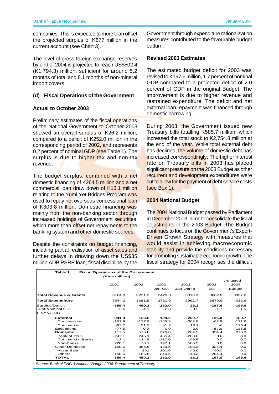companies. This is expected to more than offset the projected surplus of K677 million in the current account (see Chart 3).

The level of gross foreign exchange reserves by end of 2004 is projected to reach US\$502.4 (K1,794.3) million, sufficient for around 5.2 months of total and 8.1 months of non-mineral import covers.

#### **(d) Fiscal Operations of the Government**

#### **Actual to October 2003**

Preliminary estimates of the fiscal operations of the National Government to October 2003 showed an overall surplus of K26.2 million, compared to a deficit of K252.0 million in the corresponding period of 2002, and represents 0.2 percent of nominal **GDP** (see Table 1). The surplus is due to higher tax and non-tax revenue.

The budget surplus, combined with a net domestic financing of K264.5 million and a net commercial loan draw down of K13.1 million relating to the Yumi Yet Bridges Program was used to repay net overseas concessional loan of K303.8 million. Domestic financing was mainly from the non-banking sector through increased holdings of Government securities, which more than offset net repayments to the banking system and other domestic sources.

Despite the constraints on budget financing, including partial realisation of asset sales and further delays in drawing down the US\$35 million ADB PSRP loan, fiscal discipline by the

Government through expenditure rationalisation measures contributed to the favourable budget outturn.

#### **Revised 2003 Estimates**

The estimated budget deficit for 2003 was revised to K197.6 million, 1.7 percent of nominal GDP compared to a projected deficit of 2.0 percent of GDP in the original Budget. The improvement is due to higher revenue and restrained expenditure. The deficit and net external loan repayment was financed through domestic borrowing.

During 2003, the Government issued new Treasury bills totalling K585.7 million, which increased the total stock to K2,754.8 million at the end of the year. While total external debt has declined, the volume of domestic debt has increased correspondingly. The higher interest rate on Treasury bills in 2003 has placed significant pressure on the 2003 Budget as other recurrent and development expenditures were cut to allow for the payment of debt service costs (see Box 1).

#### **2004 National Budget**

The 2004 National Budget passed by Parliament in December 2003, aims to consolidate the fiscal adjustments in the 2003 Budget. The Budget continues to focus on the Government's Export-Driven Growth Strategy with measures that would assist in achieving macroeconomic stability and provide the conditions necessary for promoting sustainable economic growth. The fiscal strategy for 2004 recognises the difficult

7

| Table 1:<br><b>Fiscal Operations of the Government</b><br>(Kina million) |          |          |          |             |          |               |  |
|--------------------------------------------------------------------------|----------|----------|----------|-------------|----------|---------------|--|
|                                                                          |          |          |          |             |          | Adjusted      |  |
|                                                                          | 2001     | 2002     | 2002     | 2003        | 2003     | 2004          |  |
|                                                                          |          |          | Jan-Oct  | Jan-Oct (p) | Est      | <b>Budget</b> |  |
| Total Revenue & Grants                                                   | 3184.8   | 3231.3   | 2479.0   | 3018.9      | 3682.0   | 3837.0        |  |
| <b>Total Expenditure</b>                                                 | 3544.2   | 3681.5   | 2731.0   | 2992.7      | 3879.6   | 4032.6        |  |
| Surplus/Deficit                                                          | $-359.4$ | $-450.2$ | $-252.0$ | 26.2        | $-197.6$ | $-195.6$      |  |
| % of Nominal GDP                                                         | $-3.6$   | $-4.1$   | $-2.3$   | 0.2         | $-1.7$   | $-1.5$        |  |
| <b>FINANCING</b>                                                         |          |          |          |             |          |               |  |
| <b>External</b>                                                          | 241.9    | $-126.6$ | $-124.0$ | $-290.7$    | $-126.8$ | $-180.7$      |  |
| Concessional                                                             | $-151.9$ | $-177.9$ | $-165.9$ | $-303.8$    | $-62.9$  | $-171.6$      |  |
| Commercial                                                               | $-83.7$  | 51.3     | 41.9     | 13.1        | -6       | 176.4         |  |
| Exceptional                                                              | 477.5    | O.O      | 0.0      | 0.0         | $-57.9$  | $-185.5$      |  |
| <b>Domestic</b>                                                          | 117.5    | 576.8    | 376.0    | 264.5       | 324.4    | 376.3         |  |
| Bank of PNG                                                              | $-247.1$ | 245.1    | 455.4    | $-288.6$    | O.O      | 0.0           |  |
| <b>Commercial Banks</b>                                                  | $-12.1$  | $-124.9$ | $-137.0$ | 149.9       | 0.0      | 0.0           |  |
| Non-Banks                                                                | 226.1    | 70.1     | 197.1    | 506.5       | 0.0      | O.O           |  |
| <b>Other Domestic</b>                                                    | 150.6    | 386.5    | $-139.5$ | $-103.3$    | 324.4    | 0.0           |  |
| Asset Sale                                                               | $\Omega$ | 201      | 201.0    | 40.0        | 40.0     | O.O           |  |
| Others                                                                   | 150.6    | 185.5    | $-340.5$ | $-143.3$    | 284.4    | 0.0           |  |
| <b>TOTAL</b>                                                             | 359.4    | 450.2    | 252.0    | $-26.2$     | 197.6    | 195.6         |  |

 *Source: Bank of PNG & National Budget 2004, Department of Treasury*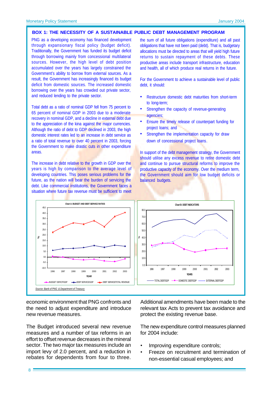#### **BOX 1: THE NECESSITY OF A SUSTAINABLE PUBLIC DEBT MANAGEMENT PROGRAM**

PNG as a developing economy has financed development through expansionary fiscal policy (budget deficit). Traditionally, the Government has funded its budget deficit through borrowing mainly from concessional multilateral sources. However, the high level of debt position accumulated over the years has largely constrained the Government's ability to borrow from external sources. As a result, the Government has increasingly financed its budget deficit from domestic sources. The increased domestic borrowing over the years has crowded out private sector, and reduced lending to the private sector.

Total debt as a ratio of nominal GDP fell from 75 percent to 65 percent of nominal GDP in 2003 due to a moderate recovery in nominal GDP, and a decline in external debt due to the appreciation of the kina against the major currencies. Although the ratio of debt to GDP declined in 2003, the high domestic interest rates led to an increase in debt service as a ratio of total revenue to over 40 percent in 2003, forcing the Government to make drastic cuts in other expenditure areas.

The increase in debt relative to the growth in GDP over the years is high by comparison to the average level of developing countries. This poses serious problems for the future, as the nation will bear the burden of servicing the debt. Like commercial institutions, the Government faces a situation where future tax revenue must be sufficient to meet

the sum of all future obligations (expenditure) and all past obligations that have not been paid (debt). That is, budgetary allocations must be directed to areas that will yield high future returns to sustain repayment of these debts. These productive areas include transport infrastructure, education and health, all of which produce real returns in the future.

For the Government to achieve a sustainable level of public debt, it should:

- Restructure domestic debt maturities from short-term to long-term;
- Strengthen the capacity of revenue-generating agencies;
- Ensure the timely release of counterpart funding for project loans; and
- Strengthen the implementation capacity for draw down of concessional project loans.

In support of the debt management strategy, the Government should utilise any excess revenue to retire domestic debt and continue to pursue structural reforms to improve the productive capacity of the economy. Over the medium term, the Government should aim for low budget deficits or balanced budgets.



economic environment that PNG confronts and the need to adjust expenditure and introduce new revenue measures.

The Budget introduced several new revenue measures and a number of tax reforms in an effort to offset revenue decreases in the mineral sector. The two major tax measures include an import levy of 2.0 percent, and a reduction in rebates for dependents from four to three. Additional amendments have been made to the relevant tax Acts to prevent tax avoidance and protect the existing revenue base.

The new expenditure control measures planned for 2004 include:

- Improving expenditure controls;
- Freeze on recruitment and termination of non-essential casual employees; and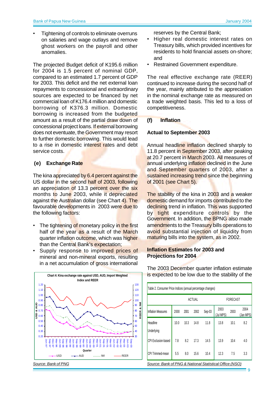• Tightening of controls to eliminate overruns on salaries and wage outlays and remove ghost workers on the payroll and other anomalies.

The projected Budget deficit of K195.6 million for 2004 is 1.5 percent of nominal GDP, compared to an estimated 1.7 percent of GDP for 2003. This deficit and the net external loan repayments to concessional and extraordinary sources are expected to be financed by net commercial loan of K176.4 million and domestic borrowing of K376.3 million. Domestic borrowing is increased from the budgeted amount as a result of the partial draw down of concessional project loans. If external borrowing does not eventuate, the Government may resort to further domestic borrowing. This would lead to a rise in domestic interest rates and debt service costs.

# **(e) Exchange Rate**

The kina appreciated by 6.4 percent against the US dollar in the second half of 2003, following an appreciation of 13.3 percent over the six months to June 2003, while it depreciated against the Australian dollar (see Chart 4). The favourable developments in 2003 were due to the following factors:

- The tightening of monetary policy in the first half of the year as a result of the March quarter inflation outcome, which was higher than the Central Bank's expectation;
- Supply response to improved prices of mineral and non-mineral exports, resulting in a net accumulation of gross international



reserves by the Central Bank;

- Higher real domestic interest rates on Treasury bills, which provided incentives for residents to hold financial assets on-shore; and
- Restrained Government expenditure.

The real effective exchange rate (REER) continued to increase during the second half of the year, mainly attributed to the appreciation in the nominal exchange rate as measured on a trade weighted basis. This led to a loss of competitiveness.

# **(f) Inflation**

# **Actual to September 2003**

Annual headline inflation declined sharply to 11.8 percent in September 2003, after peaking at 20.7 percent in March 2003. All measures of annual underlying inflation declined in the June and September quarters of 2003, after a sustained increasing trend since the beginning of 2001 (see Chart 5).

The stability of the kina in 2003 and a weaker domestic demand for imports contributed to the declining trend in inflation. This was supported by tight expenditure controls by the Government. In addition, the BPNG also made amendments to the Treasury bills operations to avoid substantial injection of liquidity from maturing bills into the system, as in 2002.

#### **Inflation Estimates for 2003 and Projections for 2004**

|                           | ACTUAL |      |      |        | FORECAST          |      |                   |
|---------------------------|--------|------|------|--------|-------------------|------|-------------------|
| <b>Inflation Measures</b> | 2000   | 2001 | 2002 | Sep-03 | 2003<br>(Jul MPS) | 2003 | 2004<br>(Jan MPS) |
| Headline                  | 10.0   | 10.3 | 14.8 | 11.8   | 13.8              | 10.1 | 8.2               |
| Underlying                |        |      |      |        |                   |      |                   |
| CPI Exclusion-based       | 7.8    | 8.2  | 17.3 | 14.5   | 13.9              | 10.4 | 4.0               |
| CPI Trimmed-mean          | 5.5    | 8.0  | 15.6 | 10.4   | 12.3              | 7.5  | 3.3               |

The 2003 December quarter inflation estimate is expected to be low due to the stability of the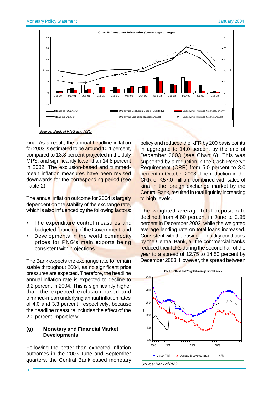

*Source: Bank of PNG and NSO*

kina. As a result, the annual headline inflation for 2003 is estimated to be around 10.1 percent, compared to 13.8 percent projected in the July MPS, and significantly lower than 14.8 percent in 2002. The exclusion-based and trimmedmean inflation measures have been revised downwards for the corresponding period (see Table 2).

which is also influenced by the following factors: The annual inflation outcome for 2004 is largely dependent on the stability of the exchange rate,

- The expenditure control measures and budgeted financing of the Government; and
- Developments in the world commodity prices for PNG's main exports being consistent with projections.

The Bank expects the exchange rate to remain stable throughout 2004, as no significant price pressures are expected. Therefore, the headline annual inflation rate is expected to decline to 8.2 percent in 2004. This is significantly higher than the expected exclusion-based and trimmed-mean underlying annual inflation rates of 4.0 and 3.3 percent, respectively, because the headline measure includes the effect of the 2.0 percent import levy.

#### **(g) Monetary and Financial Market Developments**

Following the better than expected inflation outcomes in the 2003 June and September quarters, the Central Bank eased monetary policy and reduced the KFR by 200 basis points in aggregate to 14.0 percent by the end of December 2003 (see Chart 6). This was supported by a reduction in the Cash Reserve Requirement (CRR) from 5.0 percent to 3.0 percent in October 2003. The reduction in the CRR of K57.0 million, combined with sales of kina in the foreign exchange market by the **Central Bank, resulted in total liquidity increasing** to high levels.

The weighted average total deposit rate declined from 4.60 percent in June to 2.95 percent in December 2003, while the weighted average lending rate on total loans increased. Consistent with the easing in liquidity conditions by the Central Bank, all the commercial banks reduced their ILRs during the second half of the year to a spread of 12.75 to 14.50 percent by December 2003. However, the spread between

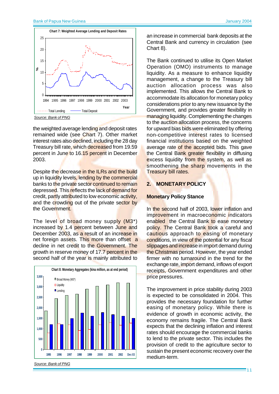

the weighted average lending and deposit rates remained wide (see Chart 7). Other market interest rates also declined, including the 28 day Treasury bill rate, which decreased from 19.59 percent in June to 16.15 percent in December 2003.

Despite the decrease in the ILRs and the build up in liquidity levels, lending by the commercial banks to the private sector continued to remain depressed. This reflects the lack of demand for credit, partly attributed to low economic activity, and the crowding out of the private sector by the Government.

The level of broad money supply (M3\*) increased by 1.4 percent between June and December 2003, as a result of an increase in net foreign assets. This more than offset a decline in net credit to the Government. The growth in reserve money of 17.7 percent in the second half of the year is mainly attributed to



an increase in commercial bank deposits at the Central Bank and currency in circulation (see Chart 8).

The Bank continued to utilise its Open Market Operation (OMO) instruments to manage liquidity. As a measure to enhance liquidity management, a change to the Treasury bill auction allocation process was also implemented. This allows the Central Bank to accommodate its allocation for monetary policy considerations prior to any new issuance by the Government, and provides greater flexibility in managing liquidity. Complementing the changes to the auction allocation process, the concerns for upward bias bids were eliminated by offering non-competitive interest rates to licensed financial institutions based on the weighted average rate of the accepted bids. This gave the Central Bank greater flexibility in diffusing excess liquidity from the system, as well as smoothening the sharp movements in the Treasury bill rates.

#### **2. MONETARY POLICY**

#### **Monetary Policy Stance**

In the second half of 2003, lower inflation and improvement in macroeconomic indicators enabled the Central Bank to ease monetary policy. The Central Bank took a careful and cautious approach to easing of monetary conditions, in view of the potential for any fiscal slippages and increase in import demand during the Christmas period. However, the year ended firmer with no turnaround in the trend for the exchange rate, import demand, inflows of export receipts, Government expenditures and other price pressures.

The improvement in price stability during 2003 is expected to be consolidated in 2004. This provides the necessary foundation for further easing of monetary policy. While there is evidence of growth in economic activity, the economy remains fragile. The Central Bank expects that the declining inflation and interest rates should encourage the commercial banks to lend to the private sector. This includes the provision of credit to the agriculture sector to sustain the present economic recovery over the medium-term.

*Source: Bank of PNG*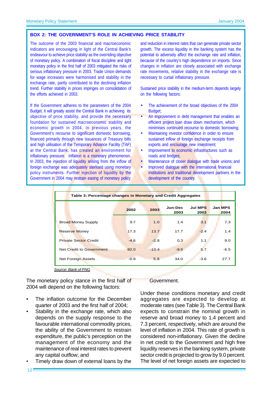#### **BOX 2: THE GOVERNMENT'S ROLE IN ACHIEVING PRICE STABILITY**

The outcome of the 2003 financial and macroeconomic indicators are encouraging in light of the Central Bank's endeavour to achieve price stability as the overriding objective of monetary policy. A combination of fiscal discipline and tight monetary policy in the first half of 2003 mitigated the risks of serious inflationary pressure in 2003. Trade Union demands for wage increases were harmonised and stability in the exchange rate, partly contributed to the declining inflation trend. Further stability in prices impinges on consolidation of the efforts achieved in 2003.

If the Government adheres to the parameters of the 2004 Budget, it will greatly assist the Central Bank in achieving its objective of price stability, and provide the necessary foundation for sustained macroeconomic stability and economic growth in 2004. In previous years, the Government's recourse to significant domestic borrowing, financed primarily through new issuances of Treasury bills and high utilisation of the Temporary Advance Facility (TAF) at the Central Bank, has created an environment for inflationary pressure. Inflation is a monetary phenomenon. In 2003, the injection of liquidity arising from the inflow of foreign exchange was adequately sterlised using monetary policy instruments. Further injection of liquidity by the Government in 2004 may restrain easing of monetary policy

and reduction in interest rates that can generate private sector growth. The excess liquidity in the banking system has the potential to adversely affect the exchange rate and inflation, because of the country's high dependence on imports. Since changes in inflation are closely associated with exchange rate movements, relative stability in the exchange rate is necessary to curtail inflationary pressure.

Sustained price stability in the medium-term depends largely on the following factors:

- The achievement of the broad objectives of the 2004 Budget:
- An improvement in debt management that enables an efficient project loan draw down mechanism, which minimises continued recourse to domestic borrowing;
- Maintaining investor confidence in order to ensure sustained inflow of foreign exchange receipts from exports and encourage new investment;
- Improvement to economic infrastructures such as roads and bridges;
- Maintenance of closer dialogue with trade unions; and
- Improved dialogue with the international financial institutions and traditional development partners in the development of the country.

| Table 3: Percentage changes in Monetary and Credit Aggregates |        |         |                 |                        |                        |  |  |
|---------------------------------------------------------------|--------|---------|-----------------|------------------------|------------------------|--|--|
|                                                               | 2002   | 2003    | Jun-Dec<br>2003 | <b>Jul MPS</b><br>2003 | <b>Jan MPS</b><br>2004 |  |  |
| <b>Broad Money Supply</b>                                     | 9.7    | 1.0     | 1.4             | 3.1                    | 7.3                    |  |  |
| <b>Reserve Money</b>                                          | 17.3   | 13.7    | 17.7            | $-2.4$                 | 1.4                    |  |  |
| <b>Private Sector Credit</b>                                  | $-4.6$ | $-2.8$  | 0.3             | 1.1                    | 9.0                    |  |  |
| Net Credit to Government                                      | 82.0   | $-10.4$ | $-9.5$          | 5.7                    | $-6.5$                 |  |  |
| <b>Net Foreign Assets</b>                                     | $-0.9$ | 5.8     | 34.0            | $-3.6$                 | 27.7                   |  |  |

*Source: Bank of PNG*

The monetary policy stance in the first half of 2004 will depend on the following factors:

- The inflation outcome for the December quarter of 2003 and the first half of 2004;
- Stability in the exchange rate, which also depends on the supply response to the favourable international commodity prices, the ability of the Government to restrain expenditure, the public's perception on the management of the economy and the maintenance of real interest rates to prevent any capital outflow; and
- Timely draw down of external loans by the

#### Government.

Under these conditions monetary and credit aggregates are expected to develop at moderate rates (see Table 3). The Central Bank expects to constrain the nominal growth in reserve and broad money to 1.4 percent and 7.3 percent, respectively, which are around the level of inflation in 2004. This rate of growth is considered non-inflationary. Given the decline in net credit to the Government and high free liquidity reserves in the banking system, private sector credit is projected to grow by 9.0 percent. The level of net foreign assets are expected to